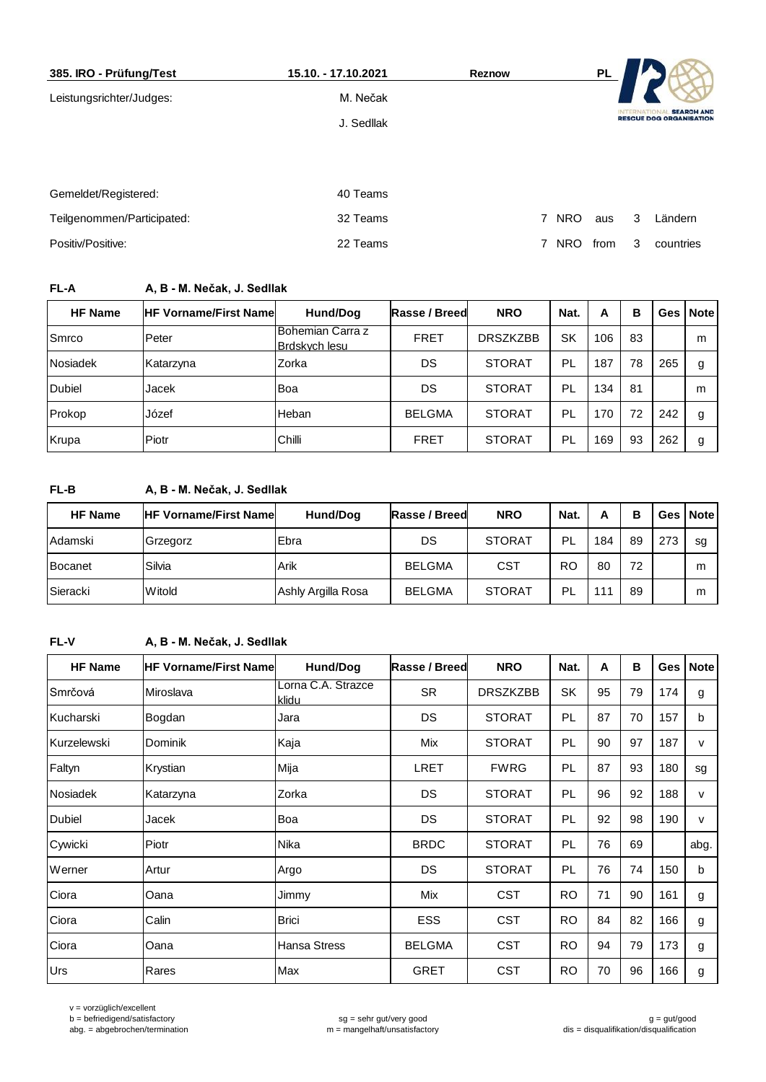| 385. IRO - Prüfung/Test    | 15.10. - 17.10.2021 | <b>Reznow</b> |                              | PL   |                   |                                                     |
|----------------------------|---------------------|---------------|------------------------------|------|-------------------|-----------------------------------------------------|
| Leistungsrichter/Judges:   | M. Nečak            |               |                              |      |                   |                                                     |
|                            | J. Sedllak          |               |                              |      | <b>INTERNATIC</b> | <b>SEARCH AND</b><br><b>RESCUE DOG ORGANISATION</b> |
|                            |                     |               |                              |      |                   |                                                     |
|                            |                     |               |                              |      |                   |                                                     |
| Gemeldet/Registered:       | 40 Teams            |               |                              |      |                   |                                                     |
| Teilgenommen/Participated: | 32 Teams            |               | 7 NRO                        | aus  | 3                 | Ländern                                             |
| Positiv/Positive:          | 22 Teams            |               | $\overline{7}$<br><b>NRO</b> | from | 3                 | countries                                           |
|                            |                     |               |                              |      |                   |                                                     |

# **FL-A A, B - M. Nečak, J. Sedllak**

| <b>HF Name</b> | <b>HF Vorname/First Namel</b> | Hund/Dog                          | Rasse / Breed | <b>NRO</b>      | Nat. | А   | в  |     | Ges Note |
|----------------|-------------------------------|-----------------------------------|---------------|-----------------|------|-----|----|-----|----------|
| Smrco          | Peter                         | Bohemian Carra z<br>Brdskych lesu | <b>FRET</b>   | <b>DRSZKZBB</b> | SK   | 106 | 83 |     | m        |
| Nosiadek       | Katarzyna                     | Zorka                             | DS            | <b>STORAT</b>   | PL   | 187 | 78 | 265 | g        |
| <b>Dubiel</b>  | Jacek                         | Boa                               | DS            | <b>STORAT</b>   | PL   | 134 | 81 |     | m        |
| Prokop         | Józef                         | Heban                             | <b>BELGMA</b> | <b>STORAT</b>   | PL   | 170 | 72 | 242 | g        |
| Krupa          | Piotr                         | Chilli                            | <b>FRET</b>   | <b>STORAT</b>   | PL   | 169 | 93 | 262 | g        |

# **FL-B A, B - M. Nečak, J. Sedllak**

| <b>HF Name</b> | <b>HF Vorname/First Namel</b> | Hund/Dog           | Rasse / Breed | <b>NRO</b>    | Nat.      | А   | в  |     | Ges   Note |
|----------------|-------------------------------|--------------------|---------------|---------------|-----------|-----|----|-----|------------|
| Adamski        | Grzegorz                      | <b>IEbra</b>       | DS            | <b>STORAT</b> | -PL       | 184 | 89 | 273 | sg         |
| <b>Bocanet</b> | Silvia                        | Arik               | <b>BELGMA</b> | CST           | <b>RO</b> | 80  | 72 |     | m          |
| Sieracki       | <b>Witold</b>                 | Ashly Argilla Rosa | <b>BELGMA</b> | <b>STORAT</b> | PL        | 111 | 89 |     | m          |

# **FL-V A, B - M. Nečak, J. Sedllak**

| <b>HF Name</b>  | <b>HF Vorname/First Namel</b> | Hund/Dog                    | Rasse / Breed | <b>NRO</b>      | Nat.      | A  | B  | Ges | <b>Note</b> |
|-----------------|-------------------------------|-----------------------------|---------------|-----------------|-----------|----|----|-----|-------------|
| Smrčová         | Miroslava                     | Lorna C.A. Strazce<br>klidu | SR            | <b>DRSZKZBB</b> | <b>SK</b> | 95 | 79 | 174 | g           |
| Kucharski       | Bogdan                        | Jara                        | DS            | <b>STORAT</b>   | PL        | 87 | 70 | 157 | b           |
| Kurzelewski     | Dominik                       | Kaja                        | Mix           | <b>STORAT</b>   | PL        | 90 | 97 | 187 | v           |
| Faltyn          | Krystian                      | Mija                        | <b>LRET</b>   | <b>FWRG</b>     | <b>PL</b> | 87 | 93 | 180 | sg          |
| <b>Nosiadek</b> | Katarzyna                     | Zorka                       | DS            | <b>STORAT</b>   | <b>PL</b> | 96 | 92 | 188 | v           |
| <b>Dubiel</b>   | Jacek                         | Boa                         | DS            | <b>STORAT</b>   | PL        | 92 | 98 | 190 | v           |
| Cywicki         | Piotr                         | Nika                        | <b>BRDC</b>   | <b>STORAT</b>   | PL        | 76 | 69 |     | abg.        |
| Werner          | Artur                         | Argo                        | DS            | <b>STORAT</b>   | PL        | 76 | 74 | 150 | b           |
| Ciora           | Oana                          | Jimmy                       | Mix           | <b>CST</b>      | <b>RO</b> | 71 | 90 | 161 | g           |
| Ciora           | Calin                         | <b>Brici</b>                | <b>ESS</b>    | <b>CST</b>      | <b>RO</b> | 84 | 82 | 166 | g           |
| Ciora           | Oana                          | Hansa Stress                | <b>BELGMA</b> | <b>CST</b>      | <b>RO</b> | 94 | 79 | 173 | g           |
| Urs             | Rares                         | Max                         | <b>GRET</b>   | <b>CST</b>      | <b>RO</b> | 70 | 96 | 166 | g           |